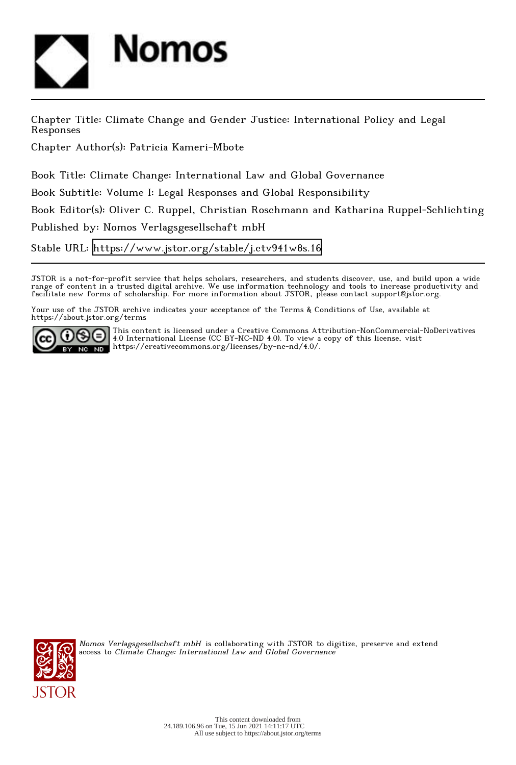

Chapter Title: Climate Change and Gender Justice: International Policy and Legal Responses

Chapter Author(s): Patricia Kameri-Mbote

Book Title: Climate Change: International Law and Global Governance Book Subtitle: Volume I: Legal Responses and Global Responsibility

Book Editor(s): Oliver C. Ruppel, Christian Roschmann and Katharina Ruppel-Schlichting

Published by: Nomos Verlagsgesellschaft mbH

Stable URL:<https://www.jstor.org/stable/j.ctv941w8s.16>

JSTOR is a not-for-profit service that helps scholars, researchers, and students discover, use, and build upon a wide range of content in a trusted digital archive. We use information technology and tools to increase productivity and facilitate new forms of scholarship. For more information about JSTOR, please contact support@jstor.org.

Your use of the JSTOR archive indicates your acceptance of the Terms & Conditions of Use, available at https://about.jstor.org/terms



This content is licensed under a Creative Commons Attribution-NonCommercial-NoDerivatives 4.0 International License (CC BY-NC-ND 4.0). To view a copy of this license, visit https://creativecommons.org/licenses/by-nc-nd/4.0/.



Nomos Verlagsgesellschaft mbH is collaborating with JSTOR to digitize, preserve and extend access to Climate Change: International Law and Global Governance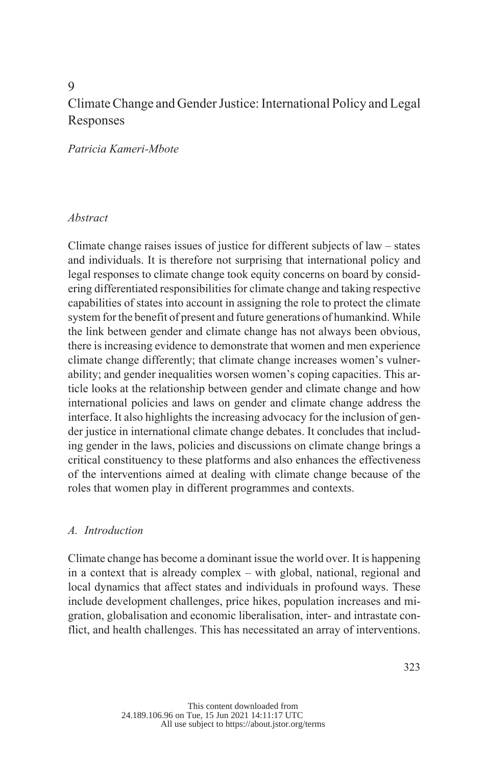# 9 Climate Change and Gender Justice: International Policy and Legal Responses

*Patricia Kameri-Mbote*

#### *Abstract*

Climate change raises issues of justice for different subjects of law – states and individuals. It is therefore not surprising that international policy and legal responses to climate change took equity concerns on board by considering differentiated responsibilities for climate change and taking respective capabilities of states into account in assigning the role to protect the climate system for the benefit of present and future generations of humankind. While the link between gender and climate change has not always been obvious, there is increasing evidence to demonstrate that women and men experience climate change differently; that climate change increases women's vulnerability; and gender inequalities worsen women's coping capacities. This article looks at the relationship between gender and climate change and how international policies and laws on gender and climate change address the interface. It also highlights the increasing advocacy for the inclusion of gender justice in international climate change debates. It concludes that including gender in the laws, policies and discussions on climate change brings a critical constituency to these platforms and also enhances the effectiveness of the interventions aimed at dealing with climate change because of the roles that women play in different programmes and contexts.

### *Introduction A.*

Climate change has become a dominant issue the world over. It is happening in a context that is already complex – with global, national, regional and local dynamics that affect states and individuals in profound ways. These include development challenges, price hikes, population increases and migration, globalisation and economic liberalisation, inter- and intrastate conflict, and health challenges. This has necessitated an array of interventions.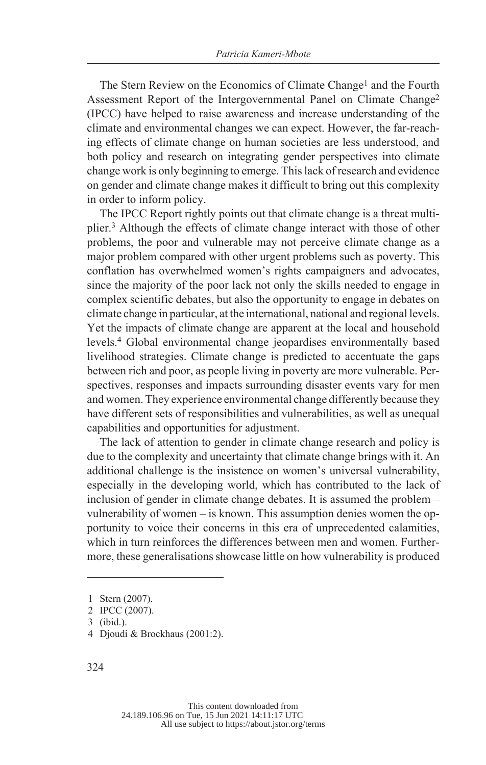The Stern Review on the Economics of Climate Change<sup>1</sup> and the Fourth Assessment Report of the Intergovernmental Panel on Climate Change<sup>2</sup> (IPCC) have helped to raise awareness and increase understanding of the climate and environmental changes we can expect. However, the far-reaching effects of climate change on human societies are less understood, and both policy and research on integrating gender perspectives into climate change work is only beginning to emerge. This lack of research and evidence on gender and climate change makes it difficult to bring out this complexity in order to inform policy.

The IPCC Report rightly points out that climate change is a threat multiplier.<sup>3</sup> Although the effects of climate change interact with those of other problems, the poor and vulnerable may not perceive climate change as a major problem compared with other urgent problems such as poverty. This conflation has overwhelmed women's rights campaigners and advocates, since the majority of the poor lack not only the skills needed to engage in complex scientific debates, but also the opportunity to engage in debates on climate change in particular, at the international, national and regional levels. Yet the impacts of climate change are apparent at the local and household levels.<sup>4</sup> Global environmental change jeopardises environmentally based livelihood strategies. Climate change is predicted to accentuate the gaps between rich and poor, as people living in poverty are more vulnerable. Perspectives, responses and impacts surrounding disaster events vary for men and women. They experience environmental change differently because they have different sets of responsibilities and vulnerabilities, as well as unequal capabilities and opportunities for adjustment.

The lack of attention to gender in climate change research and policy is due to the complexity and uncertainty that climate change brings with it. An additional challenge is the insistence on women's universal vulnerability, especially in the developing world, which has contributed to the lack of inclusion of gender in climate change debates. It is assumed the problem – vulnerability of women – is known. This assumption denies women the opportunity to voice their concerns in this era of unprecedented calamities, which in turn reinforces the differences between men and women. Furthermore, these generalisations showcase little on how vulnerability is produced

4 Djoudi & Brockhaus (2001:2).

<sup>1</sup> Stern (2007).

<sup>2</sup> IPCC (2007).

<sup>3 (</sup>ibid.).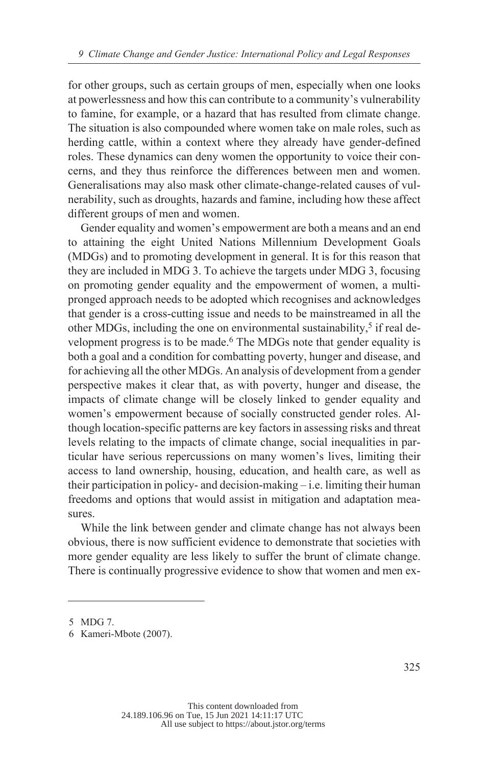for other groups, such as certain groups of men, especially when one looks at powerlessness and how this can contribute to a community's vulnerability to famine, for example, or a hazard that has resulted from climate change. The situation is also compounded where women take on male roles, such as herding cattle, within a context where they already have gender-defined roles. These dynamics can deny women the opportunity to voice their concerns, and they thus reinforce the differences between men and women. Generalisations may also mask other climate-change-related causes of vulnerability, such as droughts, hazards and famine, including how these affect different groups of men and women.

Gender equality and women's empowerment are both a means and an end to attaining the eight United Nations Millennium Development Goals (MDGs) and to promoting development in general. It is for this reason that they are included in MDG 3. To achieve the targets under MDG 3, focusing on promoting gender equality and the empowerment of women, a multipronged approach needs to be adopted which recognises and acknowledges that gender is a cross-cutting issue and needs to be mainstreamed in all the other MDGs, including the one on environmental sustainability,<sup>5</sup> if real development progress is to be made.<sup>6</sup> The MDGs note that gender equality is both a goal and a condition for combatting poverty, hunger and disease, and for achieving all the other MDGs. An analysis of development from a gender perspective makes it clear that, as with poverty, hunger and disease, the impacts of climate change will be closely linked to gender equality and women's empowerment because of socially constructed gender roles. Although location-specific patterns are key factors in assessing risks and threat levels relating to the impacts of climate change, social inequalities in particular have serious repercussions on many women's lives, limiting their access to land ownership, housing, education, and health care, as well as their participation in policy- and decision-making – i.e. limiting their human freedoms and options that would assist in mitigation and adaptation measures.

While the link between gender and climate change has not always been obvious, there is now sufficient evidence to demonstrate that societies with more gender equality are less likely to suffer the brunt of climate change. There is continually progressive evidence to show that women and men ex-

<sup>5</sup> MDG 7.

<sup>6</sup> Kameri-Mbote (2007).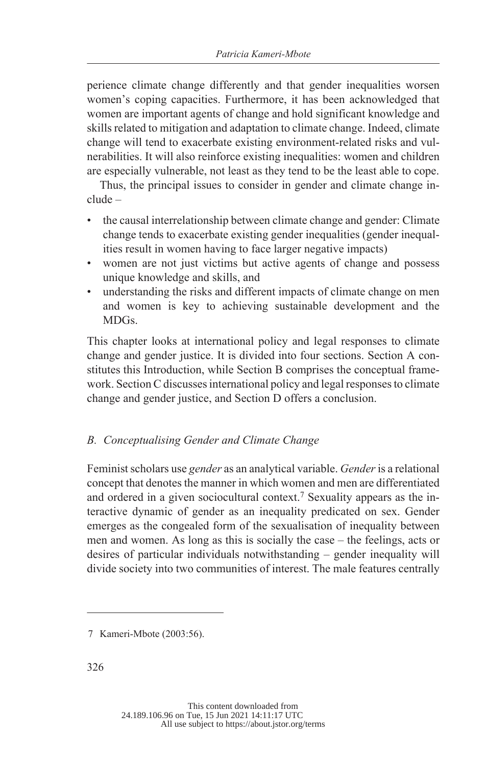perience climate change differently and that gender inequalities worsen women's coping capacities. Furthermore, it has been acknowledged that women are important agents of change and hold significant knowledge and skills related to mitigation and adaptation to climate change. Indeed, climate change will tend to exacerbate existing environment-related risks and vulnerabilities. It will also reinforce existing inequalities: women and children are especially vulnerable, not least as they tend to be the least able to cope.

Thus, the principal issues to consider in gender and climate change include –

- the causal interrelationship between climate change and gender: Climate change tends to exacerbate existing gender inequalities (gender inequalities result in women having to face larger negative impacts)
- women are not just victims but active agents of change and possess unique knowledge and skills, and
- understanding the risks and different impacts of climate change on men and women is key to achieving sustainable development and the MDGs.

This chapter looks at international policy and legal responses to climate change and gender justice. It is divided into four sections. Section A constitutes this Introduction, while Section B comprises the conceptual framework. Section C discusses international policy and legal responses to climate change and gender justice, and Section D offers a conclusion.

### *Conceptualising Gender and Climate Change B.*

Feminist scholars use *gender* as an analytical variable. *Gender* is a relational concept that denotes the manner in which women and men are differentiated and ordered in a given sociocultural context.<sup>7</sup> Sexuality appears as the interactive dynamic of gender as an inequality predicated on sex. Gender emerges as the congealed form of the sexualisation of inequality between men and women. As long as this is socially the case – the feelings, acts or desires of particular individuals notwithstanding – gender inequality will divide society into two communities of interest. The male features centrally

<sup>7</sup> Kameri-Mbote (2003:56).

<sup>326</sup>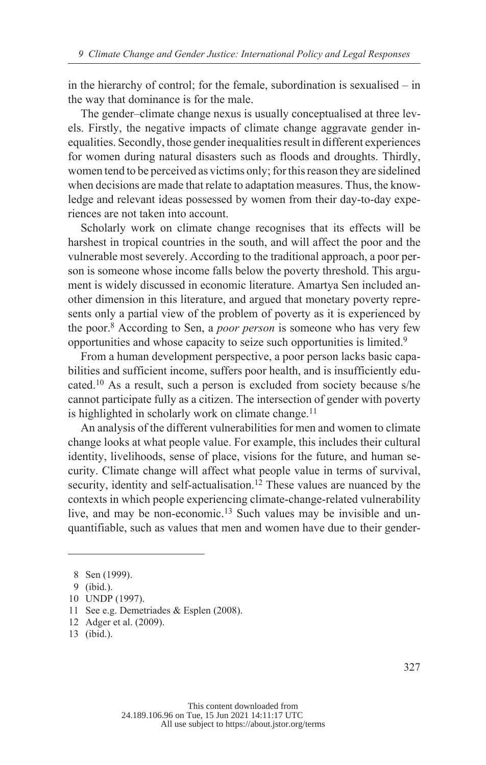in the hierarchy of control; for the female, subordination is sexualised – in the way that dominance is for the male.

The gender–climate change nexus is usually conceptualised at three levels. Firstly, the negative impacts of climate change aggravate gender inequalities. Secondly, those gender inequalities result in different experiences for women during natural disasters such as floods and droughts. Thirdly, women tend to be perceived as victims only; for this reason they are sidelined when decisions are made that relate to adaptation measures. Thus, the knowledge and relevant ideas possessed by women from their day-to-day experiences are not taken into account.

Scholarly work on climate change recognises that its effects will be harshest in tropical countries in the south, and will affect the poor and the vulnerable most severely. According to the traditional approach, a poor person is someone whose income falls below the poverty threshold. This argument is widely discussed in economic literature. Amartya Sen included another dimension in this literature, and argued that monetary poverty represents only a partial view of the problem of poverty as it is experienced by the poor.<sup>8</sup> According to Sen, a *poor person* is someone who has very few opportunities and whose capacity to seize such opportunities is limited.<sup>9</sup>

From a human development perspective, a poor person lacks basic capabilities and sufficient income, suffers poor health, and is insufficiently educated.10 As a result, such a person is excluded from society because s/he cannot participate fully as a citizen. The intersection of gender with poverty is highlighted in scholarly work on climate change.<sup>11</sup>

An analysis of the different vulnerabilities for men and women to climate change looks at what people value. For example, this includes their cultural identity, livelihoods, sense of place, visions for the future, and human security. Climate change will affect what people value in terms of survival, security, identity and self-actualisation.<sup>12</sup> These values are nuanced by the contexts in which people experiencing climate-change-related vulnerability live, and may be non-economic.13 Such values may be invisible and unquantifiable, such as values that men and women have due to their gender-

<sup>8</sup> Sen (1999).

<sup>9 (</sup>ibid.).

<sup>10</sup> UNDP (1997).

<sup>11</sup> See e.g. Demetriades & Esplen (2008).

<sup>12</sup> Adger et al. (2009).

<sup>13 (</sup>ibid.).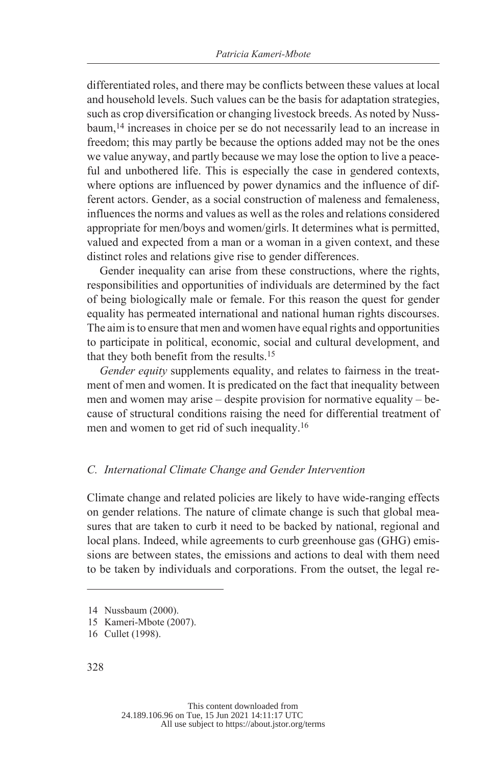differentiated roles, and there may be conflicts between these values at local and household levels. Such values can be the basis for adaptation strategies, such as crop diversification or changing livestock breeds. As noted by Nussbaum,<sup>14</sup> increases in choice per se do not necessarily lead to an increase in freedom; this may partly be because the options added may not be the ones we value anyway, and partly because we may lose the option to live a peaceful and unbothered life. This is especially the case in gendered contexts, where options are influenced by power dynamics and the influence of different actors. Gender, as a social construction of maleness and femaleness, influences the norms and values as well as the roles and relations considered appropriate for men/boys and women/girls. It determines what is permitted, valued and expected from a man or a woman in a given context, and these distinct roles and relations give rise to gender differences.

Gender inequality can arise from these constructions, where the rights, responsibilities and opportunities of individuals are determined by the fact of being biologically male or female. For this reason the quest for gender equality has permeated international and national human rights discourses. The aim is to ensure that men and women have equal rights and opportunities to participate in political, economic, social and cultural development, and that they both benefit from the results.<sup>15</sup>

*Gender equity* supplements equality, and relates to fairness in the treatment of men and women. It is predicated on the fact that inequality between men and women may arise – despite provision for normative equality – because of structural conditions raising the need for differential treatment of men and women to get rid of such inequality.<sup>16</sup>

#### *International Climate Change and Gender Intervention C.*

Climate change and related policies are likely to have wide-ranging effects on gender relations. The nature of climate change is such that global measures that are taken to curb it need to be backed by national, regional and local plans. Indeed, while agreements to curb greenhouse gas (GHG) emissions are between states, the emissions and actions to deal with them need to be taken by individuals and corporations. From the outset, the legal re-

<sup>14</sup> Nussbaum (2000).

<sup>15</sup> Kameri-Mbote (2007).

<sup>16</sup> Cullet (1998).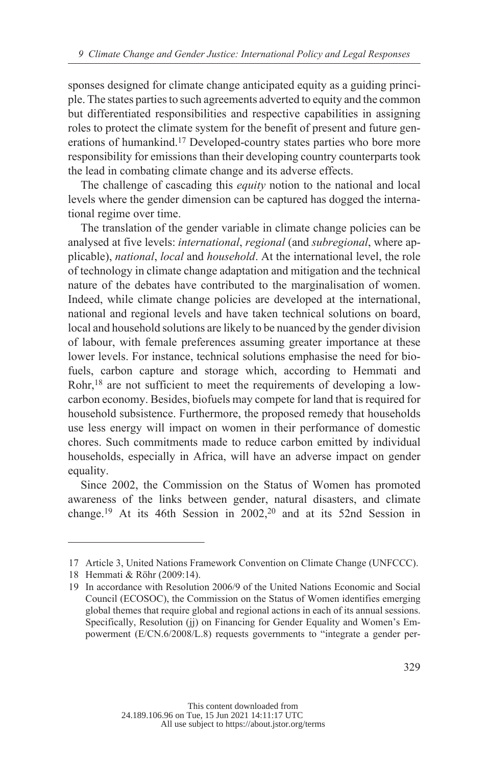sponses designed for climate change anticipated equity as a guiding principle. The states parties to such agreements adverted to equity and the common but differentiated responsibilities and respective capabilities in assigning roles to protect the climate system for the benefit of present and future generations of humankind.<sup>17</sup> Developed-country states parties who bore more responsibility for emissions than their developing country counterparts took the lead in combating climate change and its adverse effects.

The challenge of cascading this *equity* notion to the national and local levels where the gender dimension can be captured has dogged the international regime over time.

The translation of the gender variable in climate change policies can be analysed at five levels: *international*, *regional* (and *subregional*, where applicable), *national*, *local* and *household*. At the international level, the role of technology in climate change adaptation and mitigation and the technical nature of the debates have contributed to the marginalisation of women. Indeed, while climate change policies are developed at the international, national and regional levels and have taken technical solutions on board, local and household solutions are likely to be nuanced by the gender division of labour, with female preferences assuming greater importance at these lower levels. For instance, technical solutions emphasise the need for biofuels, carbon capture and storage which, according to Hemmati and Rohr,18 are not sufficient to meet the requirements of developing a lowcarbon economy. Besides, biofuels may compete for land that is required for household subsistence. Furthermore, the proposed remedy that households use less energy will impact on women in their performance of domestic chores. Such commitments made to reduce carbon emitted by individual households, especially in Africa, will have an adverse impact on gender equality.

Since 2002, the Commission on the Status of Women has promoted awareness of the links between gender, natural disasters, and climate change.19 At its 46th Session in 2002,20 and at its 52nd Session in

<sup>17</sup> Article 3, United Nations Framework Convention on Climate Change (UNFCCC).

<sup>18</sup> Hemmati & Röhr (2009:14).

<sup>19</sup> In accordance with Resolution 2006/9 of the United Nations Economic and Social Council (ECOSOC), the Commission on the Status of Women identifies emerging global themes that require global and regional actions in each of its annual sessions. Specifically, Resolution (jj) on Financing for Gender Equality and Women's Empowerment (E/CN.6/2008/L.8) requests governments to "integrate a gender per-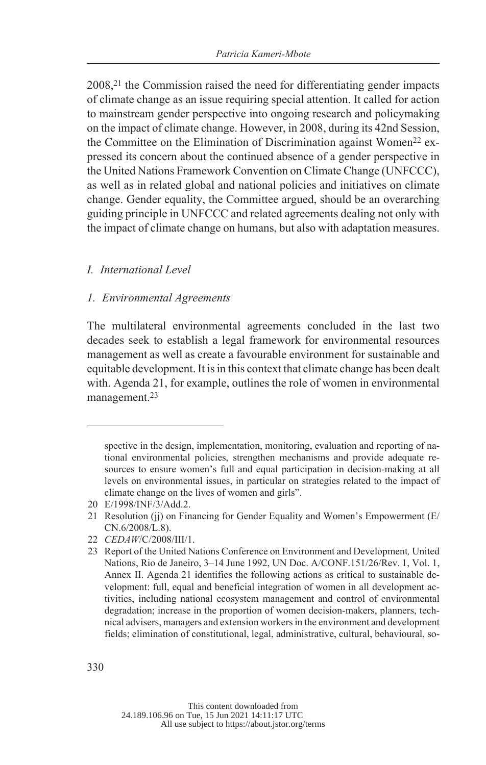2008,<sup>21</sup> the Commission raised the need for differentiating gender impacts of climate change as an issue requiring special attention. It called for action to mainstream gender perspective into ongoing research and policymaking on the impact of climate change. However, in 2008, during its 42nd Session, the Committee on the Elimination of Discrimination against Women<sup>22</sup> expressed its concern about the continued absence of a gender perspective in the United Nations Framework Convention on Climate Change (UNFCCC), as well as in related global and national policies and initiatives on climate change. Gender equality, the Committee argued, should be an overarching guiding principle in UNFCCC and related agreements dealing not only with the impact of climate change on humans, but also with adaptation measures.

### *International Level I.*

### *Environmental Agreements 1.*

The multilateral environmental agreements concluded in the last two decades seek to establish a legal framework for environmental resources management as well as create a favourable environment for sustainable and equitable development. It is in this context that climate change has been dealt with. Agenda 21, for example, outlines the role of women in environmental management.<sup>23</sup>

spective in the design, implementation, monitoring, evaluation and reporting of national environmental policies, strengthen mechanisms and provide adequate resources to ensure women's full and equal participation in decision-making at all levels on environmental issues, in particular on strategies related to the impact of climate change on the lives of women and girls".

<sup>20</sup> E/1998/INF/3/Add.2.

<sup>21</sup> Resolution (ii) on Financing for Gender Equality and Women's Empowerment (E/ CN.6/2008/L.8).

<sup>22</sup> *CEDAW*/C/2008/III/1.

<sup>23</sup> Report of the United Nations Conference on Environment and Development*,* United Nations, Rio de Janeiro, 3–14 June 1992, UN Doc. A/CONF.151/26/Rev. 1, Vol. 1, Annex II. Agenda 21 identifies the following actions as critical to sustainable development: full, equal and beneficial integration of women in all development activities, including national ecosystem management and control of environmental degradation; increase in the proportion of women decision-makers, planners, technical advisers, managers and extension workers in the environment and development fields; elimination of constitutional, legal, administrative, cultural, behavioural, so-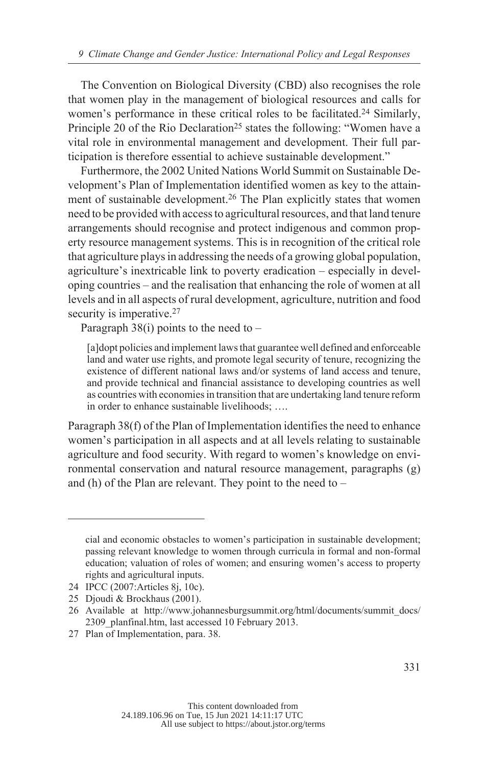The Convention on Biological Diversity (CBD) also recognises the role that women play in the management of biological resources and calls for women's performance in these critical roles to be facilitated.<sup>24</sup> Similarly, Principle 20 of the Rio Declaration<sup>25</sup> states the following: "Women have a vital role in environmental management and development. Their full participation is therefore essential to achieve sustainable development."

Furthermore, the 2002 United Nations World Summit on Sustainable Development's Plan of Implementation identified women as key to the attainment of sustainable development.<sup>26</sup> The Plan explicitly states that women need to be provided with access to agricultural resources, and that land tenure arrangements should recognise and protect indigenous and common property resource management systems. This is in recognition of the critical role that agriculture plays in addressing the needs of a growing global population, agriculture's inextricable link to poverty eradication – especially in developing countries – and the realisation that enhancing the role of women at all levels and in all aspects of rural development, agriculture, nutrition and food security is imperative.<sup>27</sup>

Paragraph  $38(i)$  points to the need to –

[a]dopt policies and implement laws that guarantee well defined and enforceable land and water use rights, and promote legal security of tenure, recognizing the existence of different national laws and/or systems of land access and tenure, and provide technical and financial assistance to developing countries as well as countries with economies in transition that are undertaking land tenure reform in order to enhance sustainable livelihoods; ….

Paragraph 38(f) of the Plan of Implementation identifies the need to enhance women's participation in all aspects and at all levels relating to sustainable agriculture and food security. With regard to women's knowledge on environmental conservation and natural resource management, paragraphs (g) and (h) of the Plan are relevant. They point to the need to –

cial and economic obstacles to women's participation in sustainable development; passing relevant knowledge to women through curricula in formal and non-formal education; valuation of roles of women; and ensuring women's access to property rights and agricultural inputs.

<sup>24</sup> IPCC (2007:Articles 8j, 10c).

<sup>25</sup> Djoudi & Brockhaus (2001).

<sup>26</sup> Available at http://www.johannesburgsummit.org/html/documents/summit\_docs/ 2309 planfinal.htm, last accessed 10 February 2013.

<sup>27</sup> Plan of Implementation, para. 38.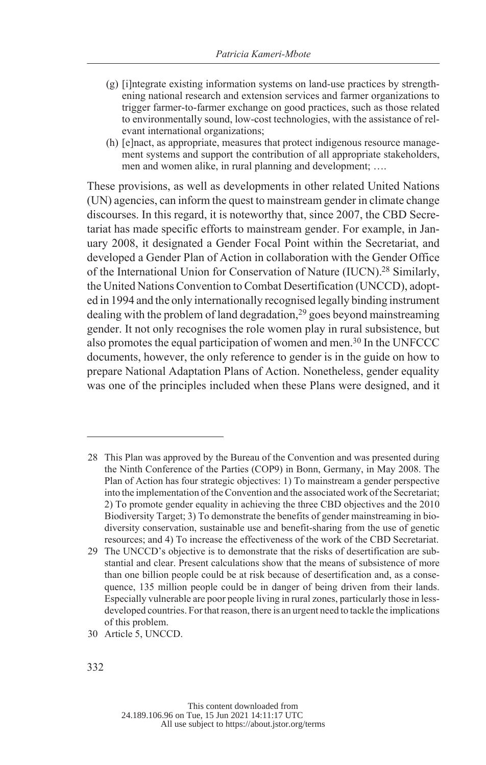- (g) [i]ntegrate existing information systems on land-use practices by strengthening national research and extension services and farmer organizations to trigger farmer-to-farmer exchange on good practices, such as those related to environmentally sound, low-cost technologies, with the assistance of relevant international organizations;
- (h) [e]nact, as appropriate, measures that protect indigenous resource management systems and support the contribution of all appropriate stakeholders, men and women alike, in rural planning and development; ….

These provisions, as well as developments in other related United Nations (UN) agencies, can inform the quest to mainstream gender in climate change discourses. In this regard, it is noteworthy that, since 2007, the CBD Secretariat has made specific efforts to mainstream gender. For example, in January 2008, it designated a Gender Focal Point within the Secretariat, and developed a Gender Plan of Action in collaboration with the Gender Office of the International Union for Conservation of Nature (IUCN).28 Similarly, the United Nations Convention to Combat Desertification (UNCCD), adopted in 1994 and the only internationally recognised legally binding instrument dealing with the problem of land degradation,29 goes beyond mainstreaming gender. It not only recognises the role women play in rural subsistence, but also promotes the equal participation of women and men.30 In the UNFCCC documents, however, the only reference to gender is in the guide on how to prepare National Adaptation Plans of Action. Nonetheless, gender equality was one of the principles included when these Plans were designed, and it

30 Article 5, UNCCD.

<sup>28</sup> This Plan was approved by the Bureau of the Convention and was presented during the Ninth Conference of the Parties (COP9) in Bonn, Germany, in May 2008. The Plan of Action has four strategic objectives: 1) To mainstream a gender perspective into the implementation of the Convention and the associated work of the Secretariat; 2) To promote gender equality in achieving the three CBD objectives and the 2010 Biodiversity Target; 3) To demonstrate the benefits of gender mainstreaming in biodiversity conservation, sustainable use and benefit-sharing from the use of genetic resources; and 4) To increase the effectiveness of the work of the CBD Secretariat.

<sup>29</sup> The UNCCD's objective is to demonstrate that the risks of desertification are substantial and clear. Present calculations show that the means of subsistence of more than one billion people could be at risk because of desertification and, as a consequence, 135 million people could be in danger of being driven from their lands. Especially vulnerable are poor people living in rural zones, particularly those in lessdeveloped countries. For that reason, there is an urgent need to tackle the implications of this problem.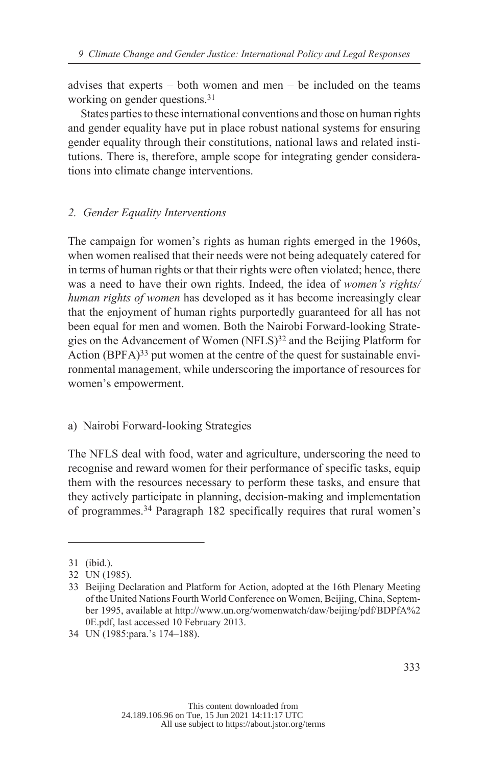advises that experts – both women and men – be included on the teams working on gender questions.<sup>31</sup>

States parties to these international conventions and those on human rights and gender equality have put in place robust national systems for ensuring gender equality through their constitutions, national laws and related institutions. There is, therefore, ample scope for integrating gender considerations into climate change interventions.

### *Gender Equality Interventions 2.*

The campaign for women's rights as human rights emerged in the 1960s, when women realised that their needs were not being adequately catered for in terms of human rights or that their rights were often violated; hence, there was a need to have their own rights. Indeed, the idea of *women's rights/ human rights of women* has developed as it has become increasingly clear that the enjoyment of human rights purportedly guaranteed for all has not been equal for men and women. Both the Nairobi Forward-looking Strategies on the Advancement of Women (NFLS)<sup>32</sup> and the Beijing Platform for Action (BPFA) $33$  put women at the centre of the quest for sustainable environmental management, while underscoring the importance of resources for women's empowerment.

### a) Nairobi Forward-looking Strategies

The NFLS deal with food, water and agriculture, underscoring the need to recognise and reward women for their performance of specific tasks, equip them with the resources necessary to perform these tasks, and ensure that they actively participate in planning, decision-making and implementation of programmes.34 Paragraph 182 specifically requires that rural women's

<sup>31 (</sup>ibid.).

<sup>32</sup> UN (1985).

<sup>33</sup> Beijing Declaration and Platform for Action, adopted at the 16th Plenary Meeting of the United Nations Fourth World Conference on Women, Beijing, China, September 1995, available at http://www.un.org/womenwatch/daw/beijing/pdf/BDPfA%2 0E.pdf, last accessed 10 February 2013.

<sup>34</sup> UN (1985:para.'s 174–188).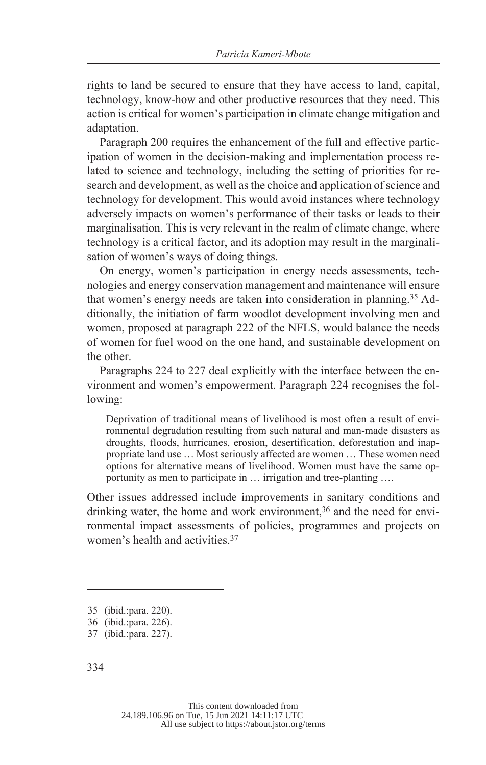rights to land be secured to ensure that they have access to land, capital, technology, know-how and other productive resources that they need. This action is critical for women's participation in climate change mitigation and adaptation.

Paragraph 200 requires the enhancement of the full and effective participation of women in the decision-making and implementation process related to science and technology, including the setting of priorities for research and development, as well as the choice and application of science and technology for development. This would avoid instances where technology adversely impacts on women's performance of their tasks or leads to their marginalisation. This is very relevant in the realm of climate change, where technology is a critical factor, and its adoption may result in the marginalisation of women's ways of doing things.

On energy, women's participation in energy needs assessments, technologies and energy conservation management and maintenance will ensure that women's energy needs are taken into consideration in planning.35 Additionally, the initiation of farm woodlot development involving men and women, proposed at paragraph 222 of the NFLS, would balance the needs of women for fuel wood on the one hand, and sustainable development on the other.

Paragraphs 224 to 227 deal explicitly with the interface between the environment and women's empowerment. Paragraph 224 recognises the following:

Deprivation of traditional means of livelihood is most often a result of environmental degradation resulting from such natural and man-made disasters as droughts, floods, hurricanes, erosion, desertification, deforestation and inappropriate land use … Most seriously affected are women … These women need options for alternative means of livelihood. Women must have the same opportunity as men to participate in … irrigation and tree-planting ….

Other issues addressed include improvements in sanitary conditions and drinking water, the home and work environment,<sup>36</sup> and the need for environmental impact assessments of policies, programmes and projects on women's health and activities.<sup>37</sup>

<sup>35 (</sup>ibid.:para. 220).

<sup>36 (</sup>ibid.:para. 226).

<sup>37 (</sup>ibid.:para. 227).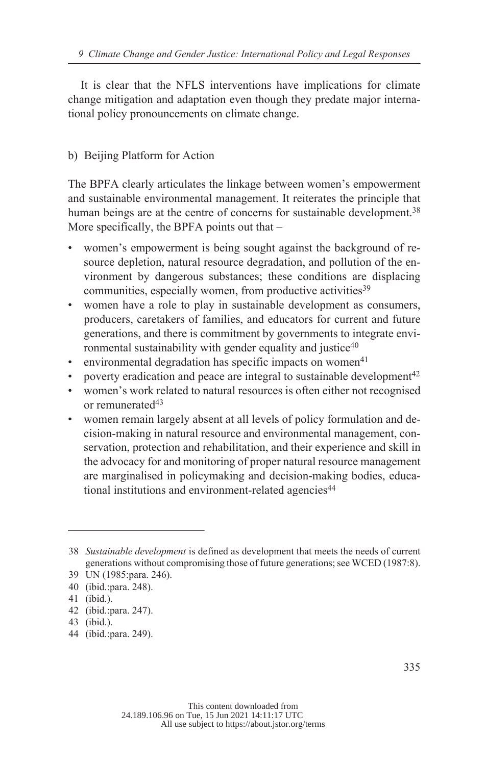It is clear that the NFLS interventions have implications for climate change mitigation and adaptation even though they predate major international policy pronouncements on climate change.

# b) Beijing Platform for Action

The BPFA clearly articulates the linkage between women's empowerment and sustainable environmental management. It reiterates the principle that human beings are at the centre of concerns for sustainable development.<sup>38</sup> More specifically, the BPFA points out that –

- women's empowerment is being sought against the background of resource depletion, natural resource degradation, and pollution of the environment by dangerous substances; these conditions are displacing communities, especially women, from productive activities<sup>39</sup>
- women have a role to play in sustainable development as consumers, producers, caretakers of families, and educators for current and future generations, and there is commitment by governments to integrate environmental sustainability with gender equality and justice<sup>40</sup>
- environmental degradation has specific impacts on women<sup>41</sup>
- poverty eradication and peace are integral to sustainable development<sup>42</sup>
- women's work related to natural resources is often either not recognised or remunerated<sup>43</sup>
- women remain largely absent at all levels of policy formulation and decision-making in natural resource and environmental management, conservation, protection and rehabilitation, and their experience and skill in the advocacy for and monitoring of proper natural resource management are marginalised in policymaking and decision-making bodies, educational institutions and environment-related agencies<sup>44</sup>

<sup>38</sup> *Sustainable development* is defined as development that meets the needs of current generations without compromising those of future generations; see WCED (1987:8).

<sup>39</sup> UN (1985:para. 246).

<sup>40 (</sup>ibid.:para. 248).

<sup>41 (</sup>ibid.).

<sup>42 (</sup>ibid.:para. 247).

<sup>43 (</sup>ibid.).

<sup>44 (</sup>ibid.:para. 249).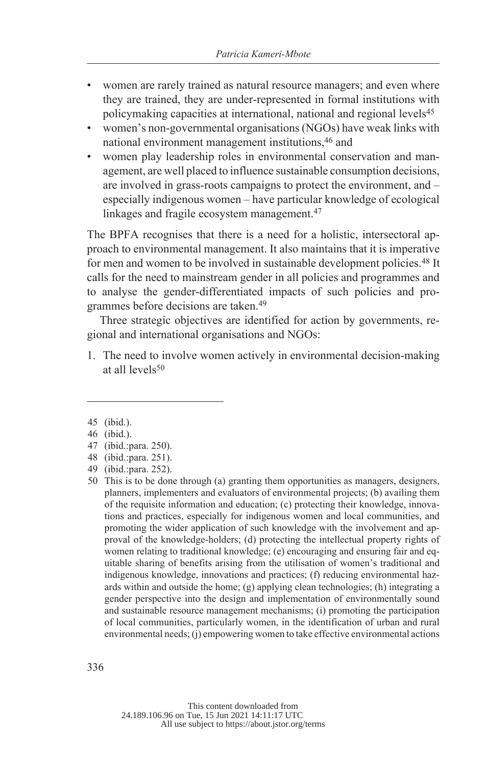- women are rarely trained as natural resource managers; and even where they are trained, they are under-represented in formal institutions with policymaking capacities at international, national and regional levels<sup>45</sup>
- women's non-governmental organisations (NGOs) have weak links with national environment management institutions, 46 and
- women play leadership roles in environmental conservation and management, are well placed to influence sustainable consumption decisions, are involved in grass-roots campaigns to protect the environment, and – especially indigenous women – have particular knowledge of ecological linkages and fragile ecosystem management.<sup>47</sup>

The BPFA recognises that there is a need for a holistic, intersectoral approach to environmental management. It also maintains that it is imperative for men and women to be involved in sustainable development policies.<sup>48</sup> It calls for the need to mainstream gender in all policies and programmes and to analyse the gender-differentiated impacts of such policies and programmes before decisions are taken.<sup>49</sup>

Three strategic objectives are identified for action by governments, regional and international organisations and NGOs:

1. The need to involve women actively in environmental decision-making at all levels<sup>50</sup>

<sup>45 (</sup>ibid.).

<sup>46 (</sup>ibid.).

<sup>47 (</sup>ibid.:para. 250).

<sup>48 (</sup>ibid.:para. 251).

<sup>49 (</sup>ibid.:para. 252).

<sup>50</sup> This is to be done through (a) granting them opportunities as managers, designers, planners, implementers and evaluators of environmental projects; (b) availing them of the requisite information and education; (c) protecting their knowledge, innovations and practices, especially for indigenous women and local communities, and promoting the wider application of such knowledge with the involvement and approval of the knowledge-holders; (d) protecting the intellectual property rights of women relating to traditional knowledge; (e) encouraging and ensuring fair and equitable sharing of benefits arising from the utilisation of women's traditional and indigenous knowledge, innovations and practices; (f) reducing environmental hazards within and outside the home; (g) applying clean technologies; (h) integrating a gender perspective into the design and implementation of environmentally sound and sustainable resource management mechanisms; (i) promoting the participation of local communities, particularly women, in the identification of urban and rural environmental needs; (j) empowering women to take effective environmental actions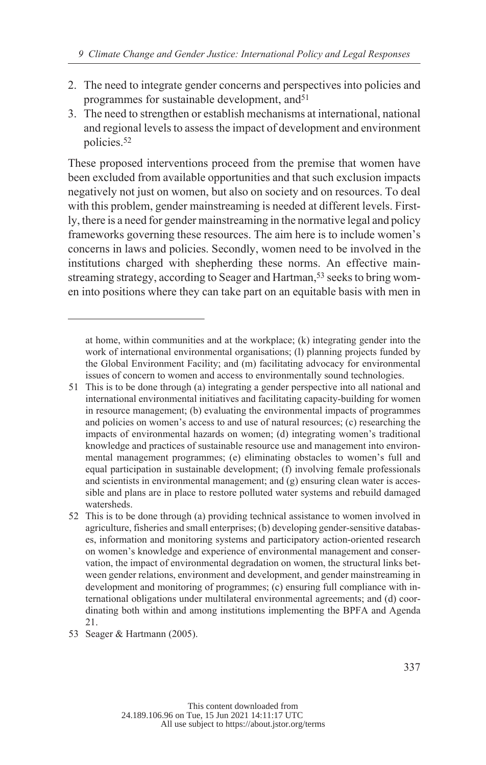- 2. The need to integrate gender concerns and perspectives into policies and programmes for sustainable development, and  $51$
- 3. The need to strengthen or establish mechanisms at international, national and regional levels to assess the impact of development and environment policies.<sup>52</sup>

These proposed interventions proceed from the premise that women have been excluded from available opportunities and that such exclusion impacts negatively not just on women, but also on society and on resources. To deal with this problem, gender mainstreaming is needed at different levels. Firstly, there is a need for gender mainstreaming in the normative legal and policy frameworks governing these resources. The aim here is to include women's concerns in laws and policies. Secondly, women need to be involved in the institutions charged with shepherding these norms. An effective mainstreaming strategy, according to Seager and Hartman,<sup>53</sup> seeks to bring women into positions where they can take part on an equitable basis with men in

at home, within communities and at the workplace; (k) integrating gender into the work of international environmental organisations; (1) planning projects funded by the Global Environment Facility; and (m) facilitating advocacy for environmental issues of concern to women and access to environmentally sound technologies.

<sup>51</sup> This is to be done through (a) integrating a gender perspective into all national and international environmental initiatives and facilitating capacity-building for women in resource management; (b) evaluating the environmental impacts of programmes and policies on women's access to and use of natural resources; (c) researching the impacts of environmental hazards on women; (d) integrating women's traditional knowledge and practices of sustainable resource use and management into environmental management programmes; (e) eliminating obstacles to women's full and equal participation in sustainable development; (f) involving female professionals and scientists in environmental management; and (g) ensuring clean water is accessible and plans are in place to restore polluted water systems and rebuild damaged watersheds.

<sup>52</sup> This is to be done through (a) providing technical assistance to women involved in agriculture, fisheries and small enterprises; (b) developing gender-sensitive databases, information and monitoring systems and participatory action-oriented research on women's knowledge and experience of environmental management and conservation, the impact of environmental degradation on women, the structural links between gender relations, environment and development, and gender mainstreaming in development and monitoring of programmes; (c) ensuring full compliance with international obligations under multilateral environmental agreements; and (d) coordinating both within and among institutions implementing the BPFA and Agenda 21.

<sup>53</sup> Seager & Hartmann (2005).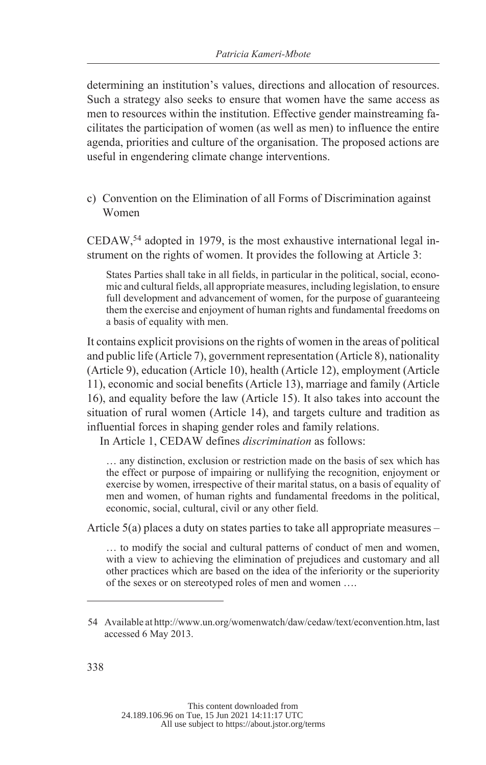determining an institution's values, directions and allocation of resources. Such a strategy also seeks to ensure that women have the same access as men to resources within the institution. Effective gender mainstreaming facilitates the participation of women (as well as men) to influence the entire agenda, priorities and culture of the organisation. The proposed actions are useful in engendering climate change interventions.

c) Convention on the Elimination of all Forms of Discrimination against Women

CEDAW,<sup>54</sup> adopted in 1979, is the most exhaustive international legal instrument on the rights of women. It provides the following at Article 3:

States Parties shall take in all fields, in particular in the political, social, economic and cultural fields, all appropriate measures, including legislation, to ensure full development and advancement of women, for the purpose of guaranteeing them the exercise and enjoyment of human rights and fundamental freedoms on a basis of equality with men.

It contains explicit provisions on the rights of women in the areas of political and public life (Article 7), government representation (Article 8), nationality (Article 9), education (Article 10), health (Article 12), employment (Article 11), economic and social benefits (Article 13), marriage and family (Article 16), and equality before the law (Article 15). It also takes into account the situation of rural women (Article 14), and targets culture and tradition as influential forces in shaping gender roles and family relations.

In Article 1, CEDAW defines *discrimination* as follows:

… any distinction, exclusion or restriction made on the basis of sex which has the effect or purpose of impairing or nullifying the recognition, enjoyment or exercise by women, irrespective of their marital status, on a basis of equality of men and women, of human rights and fundamental freedoms in the political, economic, social, cultural, civil or any other field.

Article 5(a) places a duty on states parties to take all appropriate measures –

… to modify the social and cultural patterns of conduct of men and women, with a view to achieving the elimination of prejudices and customary and all other practices which are based on the idea of the inferiority or the superiority of the sexes or on stereotyped roles of men and women ….

<sup>54</sup> Available at http://www.un.org/womenwatch/daw/cedaw/text/econvention.htm, last accessed 6 May 2013.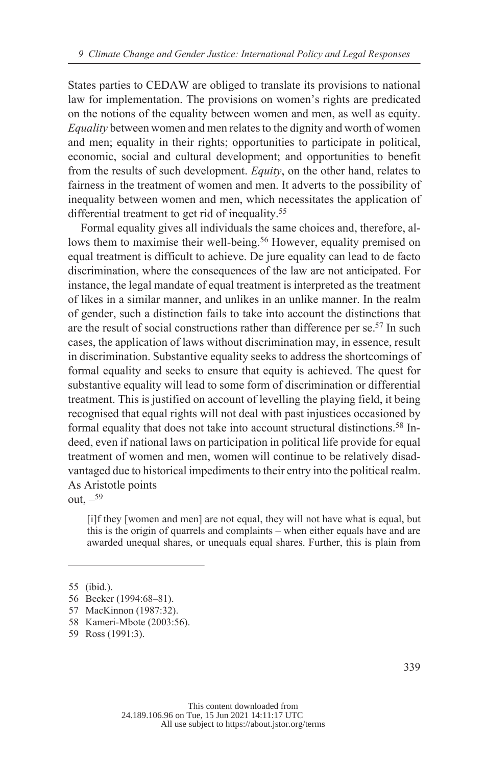States parties to CEDAW are obliged to translate its provisions to national law for implementation. The provisions on women's rights are predicated on the notions of the equality between women and men, as well as equity. *Equality* between women and men relates to the dignity and worth of women and men; equality in their rights; opportunities to participate in political, economic, social and cultural development; and opportunities to benefit from the results of such development. *Equity*, on the other hand, relates to fairness in the treatment of women and men. It adverts to the possibility of inequality between women and men, which necessitates the application of differential treatment to get rid of inequality.<sup>55</sup>

Formal equality gives all individuals the same choices and, therefore, allows them to maximise their well-being.<sup>56</sup> However, equality premised on equal treatment is difficult to achieve. De jure equality can lead to de facto discrimination, where the consequences of the law are not anticipated. For instance, the legal mandate of equal treatment is interpreted as the treatment of likes in a similar manner, and unlikes in an unlike manner. In the realm of gender, such a distinction fails to take into account the distinctions that are the result of social constructions rather than difference per se.57 In such cases, the application of laws without discrimination may, in essence, result in discrimination. Substantive equality seeks to address the shortcomings of formal equality and seeks to ensure that equity is achieved. The quest for substantive equality will lead to some form of discrimination or differential treatment. This is justified on account of levelling the playing field, it being recognised that equal rights will not deal with past injustices occasioned by formal equality that does not take into account structural distinctions.58 Indeed, even if national laws on participation in political life provide for equal treatment of women and men, women will continue to be relatively disadvantaged due to historical impediments to their entry into the political realm. As Aristotle points

out.  $-59$ 

[i]f they [women and men] are not equal, they will not have what is equal, but this is the origin of quarrels and complaints – when either equals have and are awarded unequal shares, or unequals equal shares. Further, this is plain from

<sup>55 (</sup>ibid.).

<sup>56</sup> Becker (1994:68–81).

<sup>57</sup> MacKinnon (1987:32).

<sup>58</sup> Kameri-Mbote (2003:56).

<sup>59</sup> Ross (1991:3).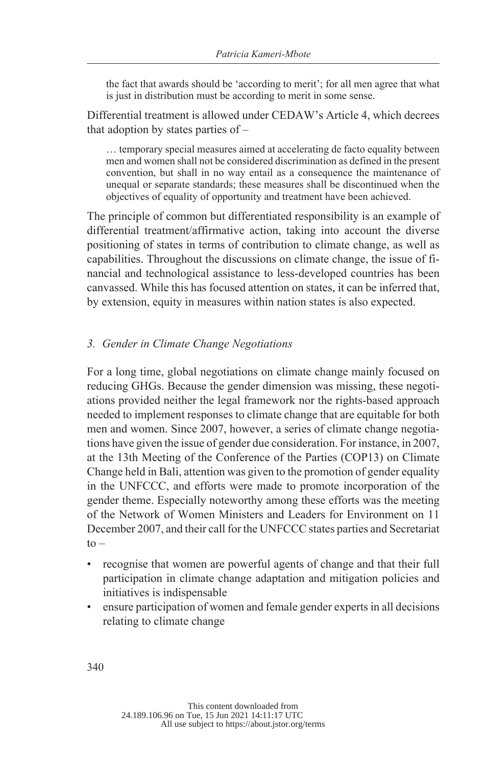the fact that awards should be 'according to merit'; for all men agree that what is just in distribution must be according to merit in some sense.

Differential treatment is allowed under CEDAW's Article 4, which decrees that adoption by states parties of –

… temporary special measures aimed at accelerating de facto equality between men and women shall not be considered discrimination as defined in the present convention, but shall in no way entail as a consequence the maintenance of unequal or separate standards; these measures shall be discontinued when the objectives of equality of opportunity and treatment have been achieved.

The principle of common but differentiated responsibility is an example of differential treatment/affirmative action, taking into account the diverse positioning of states in terms of contribution to climate change, as well as capabilities. Throughout the discussions on climate change, the issue of financial and technological assistance to less-developed countries has been canvassed. While this has focused attention on states, it can be inferred that, by extension, equity in measures within nation states is also expected.

### *Gender in Climate Change Negotiations 3.*

For a long time, global negotiations on climate change mainly focused on reducing GHGs. Because the gender dimension was missing, these negotiations provided neither the legal framework nor the rights-based approach needed to implement responses to climate change that are equitable for both men and women. Since 2007, however, a series of climate change negotiations have given the issue of gender due consideration. For instance, in 2007, at the 13th Meeting of the Conference of the Parties (COP13) on Climate Change held in Bali, attention was given to the promotion of gender equality in the UNFCCC, and efforts were made to promote incorporation of the gender theme. Especially noteworthy among these efforts was the meeting of the Network of Women Ministers and Leaders for Environment on 11 December 2007, and their call for the UNFCCC states parties and Secretariat  $to -$ 

- recognise that women are powerful agents of change and that their full participation in climate change adaptation and mitigation policies and initiatives is indispensable
- ensure participation of women and female gender experts in all decisions relating to climate change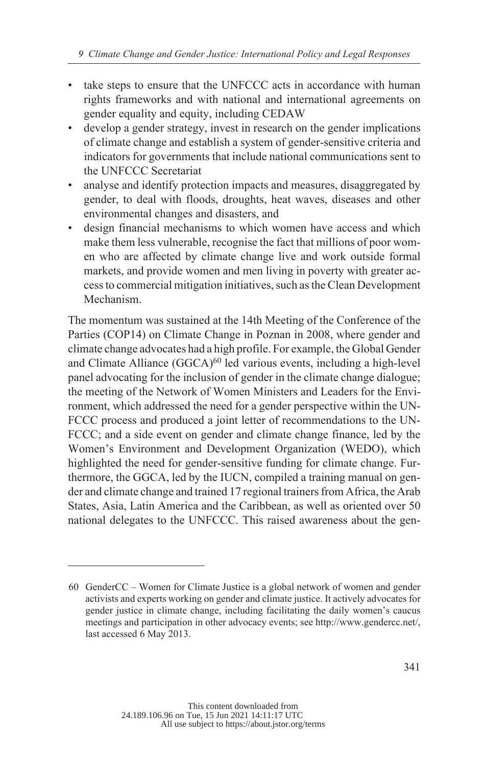- take steps to ensure that the UNFCCC acts in accordance with human rights frameworks and with national and international agreements on gender equality and equity, including CEDAW
- develop a gender strategy, invest in research on the gender implications of climate change and establish a system of gender-sensitive criteria and indicators for governments that include national communications sent to the UNFCCC Secretariat
- analyse and identify protection impacts and measures, disaggregated by gender, to deal with floods, droughts, heat waves, diseases and other environmental changes and disasters, and
- design financial mechanisms to which women have access and which make them less vulnerable, recognise the fact that millions of poor women who are affected by climate change live and work outside formal markets, and provide women and men living in poverty with greater access to commercial mitigation initiatives, such as the Clean Development Mechanism.

The momentum was sustained at the 14th Meeting of the Conference of the Parties (COP14) on Climate Change in Poznan in 2008, where gender and climate change advocates had a high profile. For example, the Global Gender and Climate Alliance (GGCA)<sup>60</sup> led various events, including a high-level panel advocating for the inclusion of gender in the climate change dialogue; the meeting of the Network of Women Ministers and Leaders for the Environment, which addressed the need for a gender perspective within the UN-FCCC process and produced a joint letter of recommendations to the UN-FCCC; and a side event on gender and climate change finance, led by the Women's Environment and Development Organization (WEDO), which highlighted the need for gender-sensitive funding for climate change. Furthermore, the GGCA, led by the IUCN, compiled a training manual on gender and climate change and trained 17 regional trainers from Africa, the Arab States, Asia, Latin America and the Caribbean, as well as oriented over 50 national delegates to the UNFCCC. This raised awareness about the gen-

<sup>60</sup> GenderCC – Women for Climate Justice is a global network of women and gender activists and experts working on gender and climate justice. It actively advocates for gender justice in climate change, including facilitating the daily women's caucus meetings and participation in other advocacy events; see http://www.gendercc.net/, last accessed 6 May 2013.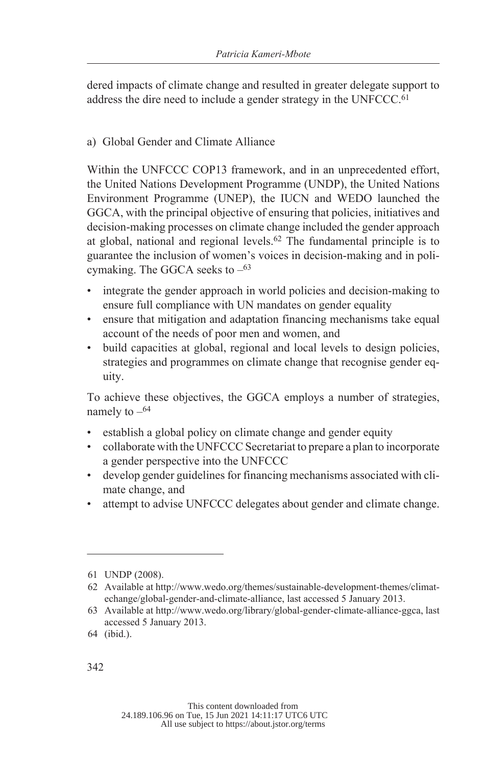dered impacts of climate change and resulted in greater delegate support to address the dire need to include a gender strategy in the UNFCCC.<sup>61</sup>

# a) Global Gender and Climate Alliance

Within the UNFCCC COP13 framework, and in an unprecedented effort, the United Nations Development Programme (UNDP), the United Nations Environment Programme (UNEP), the IUCN and WEDO launched the GGCA, with the principal objective of ensuring that policies, initiatives and decision-making processes on climate change included the gender approach at global, national and regional levels.<sup>62</sup> The fundamental principle is to guarantee the inclusion of women's voices in decision-making and in policymaking. The GGCA seeks to  $-63$ 

- integrate the gender approach in world policies and decision-making to ensure full compliance with UN mandates on gender equality
- ensure that mitigation and adaptation financing mechanisms take equal account of the needs of poor men and women, and
- build capacities at global, regional and local levels to design policies, strategies and programmes on climate change that recognise gender equity.

To achieve these objectives, the GGCA employs a number of strategies, namely to  $-64$ 

- establish a global policy on climate change and gender equity
- collaborate with the UNFCCC Secretariat to prepare a plan to incorporate a gender perspective into the UNFCCC
- develop gender guidelines for financing mechanisms associated with climate change, and
- attempt to advise UNFCCC delegates about gender and climate change.

<sup>61</sup> UNDP (2008).

<sup>62</sup> Available at http://www.wedo.org/themes/sustainable-development-themes/climatechange/global-gender-and-climate-alliance, last accessed 5 January 2013.

<sup>63</sup> Available at http://www.wedo.org/library/global-gender-climate-alliance-ggca, last accessed 5 January 2013.

<sup>64 (</sup>ibid.).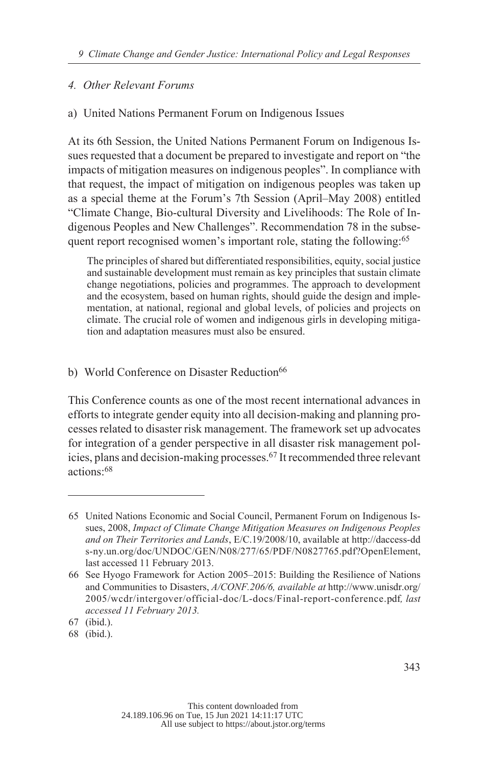# *Other Relevant Forums 4.*

# a) United Nations Permanent Forum on Indigenous Issues

At its 6th Session, the United Nations Permanent Forum on Indigenous Issues requested that a document be prepared to investigate and report on "the impacts of mitigation measures on indigenous peoples". In compliance with that request, the impact of mitigation on indigenous peoples was taken up as a special theme at the Forum's 7th Session (April–May 2008) entitled "Climate Change, Bio-cultural Diversity and Livelihoods: The Role of Indigenous Peoples and New Challenges". Recommendation 78 in the subsequent report recognised women's important role, stating the following:<sup>65</sup>

The principles of shared but differentiated responsibilities, equity, social justice and sustainable development must remain as key principles that sustain climate change negotiations, policies and programmes. The approach to development and the ecosystem, based on human rights, should guide the design and implementation, at national, regional and global levels, of policies and projects on climate. The crucial role of women and indigenous girls in developing mitigation and adaptation measures must also be ensured.

b) World Conference on Disaster Reduction<sup>66</sup>

This Conference counts as one of the most recent international advances in efforts to integrate gender equity into all decision-making and planning processes related to disaster risk management. The framework set up advocates for integration of a gender perspective in all disaster risk management policies, plans and decision-making processes.67 It recommended three relevant actions:<sup>68</sup>

<sup>65</sup> United Nations Economic and Social Council, Permanent Forum on Indigenous Issues, 2008, *Impact of Climate Change Mitigation Measures on Indigenous Peoples and on Their Territories and Lands*, E/C.19/2008/10, available at http://daccess-dd s-ny.un.org/doc/UNDOC/GEN/N08/277/65/PDF/N0827765.pdf?OpenElement, last accessed 11 February 2013.

<sup>66</sup> See Hyogo Framework for Action 2005–2015: Building the Resilience of Nations and Communities to Disasters, *A/CONF.206/6, available at* http://www.unisdr.org/ 2005/wcdr/intergover/official-doc/L-docs/Final-report-conference.pdf*, last accessed 11 February 2013.*

<sup>67 (</sup>ibid.).

<sup>68 (</sup>ibid.).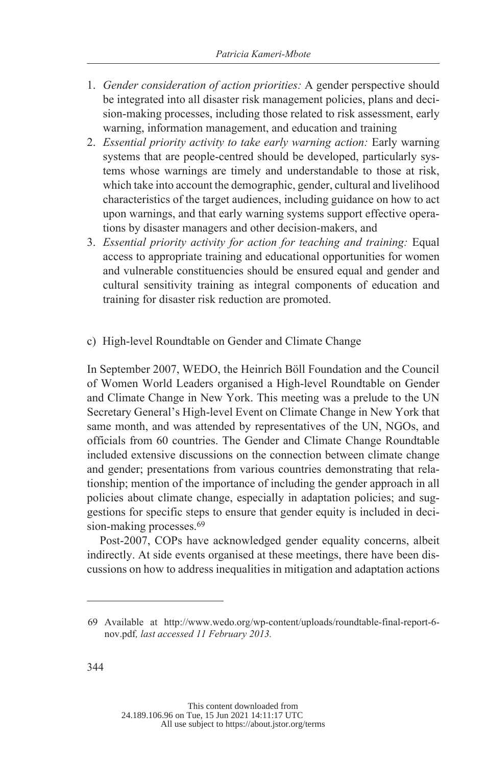- 1. *Gender consideration of action priorities:* A gender perspective should be integrated into all disaster risk management policies, plans and decision-making processes, including those related to risk assessment, early warning, information management, and education and training
- 2. *Essential priority activity to take early warning action:* Early warning systems that are people-centred should be developed, particularly systems whose warnings are timely and understandable to those at risk, which take into account the demographic, gender, cultural and livelihood characteristics of the target audiences, including guidance on how to act upon warnings, and that early warning systems support effective operations by disaster managers and other decision-makers, and
- 3. *Essential priority activity for action for teaching and training:* Equal access to appropriate training and educational opportunities for women and vulnerable constituencies should be ensured equal and gender and cultural sensitivity training as integral components of education and training for disaster risk reduction are promoted.
- c) High-level Roundtable on Gender and Climate Change

In September 2007, WEDO, the Heinrich Böll Foundation and the Council of Women World Leaders organised a High-level Roundtable on Gender and Climate Change in New York. This meeting was a prelude to the UN Secretary General's High-level Event on Climate Change in New York that same month, and was attended by representatives of the UN, NGOs, and officials from 60 countries. The Gender and Climate Change Roundtable included extensive discussions on the connection between climate change and gender; presentations from various countries demonstrating that relationship; mention of the importance of including the gender approach in all policies about climate change, especially in adaptation policies; and suggestions for specific steps to ensure that gender equity is included in decision-making processes.<sup>69</sup>

Post-2007, COPs have acknowledged gender equality concerns, albeit indirectly. At side events organised at these meetings, there have been discussions on how to address inequalities in mitigation and adaptation actions

<sup>69</sup> Available at http://www.wedo.org/wp-content/uploads/roundtable-final-report-6 nov.pdf*, last accessed 11 February 2013.*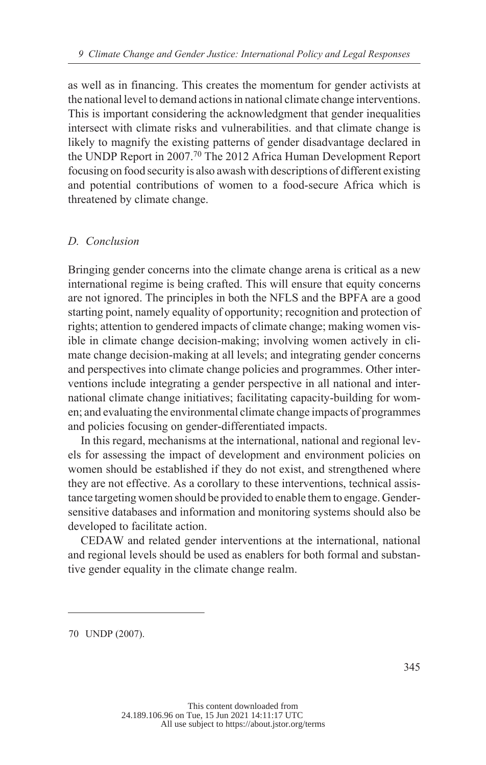as well as in financing. This creates the momentum for gender activists at the national level to demand actions in national climate change interventions. This is important considering the acknowledgment that gender inequalities intersect with climate risks and vulnerabilities. and that climate change is likely to magnify the existing patterns of gender disadvantage declared in the UNDP Report in 2007.<sup>70</sup> The 2012 Africa Human Development Report focusing on food security is also awash with descriptions of different existing and potential contributions of women to a food-secure Africa which is threatened by climate change.

### *Conclusion D.*

Bringing gender concerns into the climate change arena is critical as a new international regime is being crafted. This will ensure that equity concerns are not ignored. The principles in both the NFLS and the BPFA are a good starting point, namely equality of opportunity; recognition and protection of rights; attention to gendered impacts of climate change; making women visible in climate change decision-making; involving women actively in climate change decision-making at all levels; and integrating gender concerns and perspectives into climate change policies and programmes. Other interventions include integrating a gender perspective in all national and international climate change initiatives; facilitating capacity-building for women; and evaluating the environmental climate change impacts of programmes and policies focusing on gender-differentiated impacts.

In this regard, mechanisms at the international, national and regional levels for assessing the impact of development and environment policies on women should be established if they do not exist, and strengthened where they are not effective. As a corollary to these interventions, technical assistance targeting women should be provided to enable them to engage. Gendersensitive databases and information and monitoring systems should also be developed to facilitate action.

CEDAW and related gender interventions at the international, national and regional levels should be used as enablers for both formal and substantive gender equality in the climate change realm.

<sup>70</sup> UNDP (2007).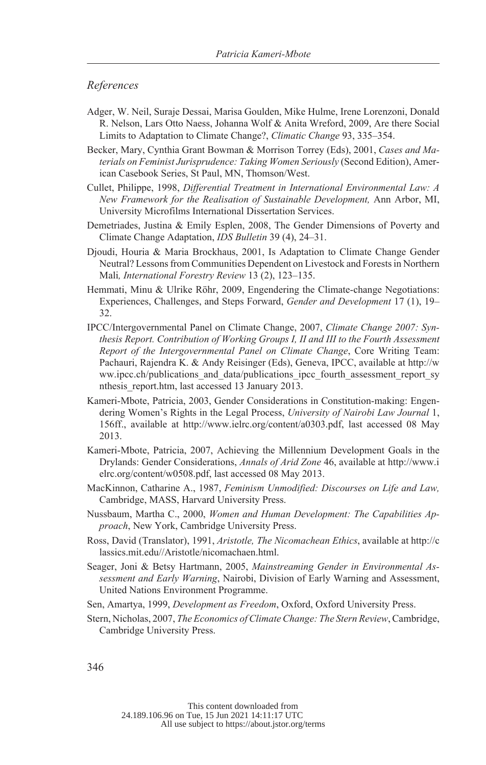#### *References*

- Adger, W. Neil, Suraje Dessai, Marisa Goulden, Mike Hulme, Irene Lorenzoni, Donald R. Nelson, Lars Otto Naess, Johanna Wolf & Anita Wreford, 2009, Are there Social Limits to Adaptation to Climate Change?, *Climatic Change* 93, 335–354.
- Becker, Mary, Cynthia Grant Bowman & Morrison Torrey (Eds), 2001, *Cases and Materials on Feminist Jurisprudence: Taking Women Seriously* (Second Edition), American Casebook Series, St Paul, MN, Thomson/West.
- Cullet, Philippe, 1998, *Differential Treatment in International Environmental Law: A New Framework for the Realisation of Sustainable Development,* Ann Arbor, MI, University Microfilms International Dissertation Services.
- Demetriades, Justina & Emily Esplen, 2008, The Gender Dimensions of Poverty and Climate Change Adaptation, *IDS Bulletin* 39 (4), 24–31.
- Djoudi, Houria & Maria Brockhaus, 2001, Is Adaptation to Climate Change Gender Neutral? Lessons from Communities Dependent on Livestock and Forests in Northern Mali*, International Forestry Review* 13 (2), 123–135.
- Hemmati, Minu & Ulrike Röhr, 2009, Engendering the Climate-change Negotiations: Experiences, Challenges, and Steps Forward, *Gender and Development* 17 (1), 19– 32.
- IPCC/Intergovernmental Panel on Climate Change, 2007, *Climate Change 2007: Synthesis Report. Contribution of Working Groups I, II and III to the Fourth Assessment Report of the Intergovernmental Panel on Climate Change*, Core Writing Team: Pachauri, Rajendra K. & Andy Reisinger (Eds), Geneva, IPCC, available at http://w ww.ipcc.ch/publications\_and\_data/publications\_ipcc\_fourth\_assessment\_report\_sy nthesis\_report.htm, last accessed 13 January 2013.
- Kameri-Mbote, Patricia, 2003, Gender Considerations in Constitution-making: Engendering Women's Rights in the Legal Process, *University of Nairobi Law Journal* 1, 156ff., available at http://www.ielrc.org/content/a0303.pdf, last accessed 08 May 2013.
- Kameri-Mbote, Patricia, 2007, Achieving the Millennium Development Goals in the Drylands: Gender Considerations, *Annals of Arid Zone* 46, available at http://www.i elrc.org/content/w0508.pdf, last accessed 08 May 2013.
- MacKinnon, Catharine A., 1987, *Feminism Unmodified: Discourses on Life and Law,* Cambridge, MASS, Harvard University Press.
- Nussbaum, Martha C., 2000, *Women and Human Development: The Capabilities Approach*, New York, Cambridge University Press.
- Ross, David (Translator), 1991, *Aristotle, The Nicomachean Ethics*, available at http://c lassics.mit.edu//Aristotle/nicomachaen.html.
- Seager, Joni & Betsy Hartmann, 2005, *Mainstreaming Gender in Environmental Assessment and Early Warning*, Nairobi, Division of Early Warning and Assessment, United Nations Environment Programme.
- Sen, Amartya, 1999, *Development as Freedom*, Oxford, Oxford University Press.
- Stern, Nicholas, 2007, *The Economics of Climate Change: The Stern Review*, Cambridge, Cambridge University Press.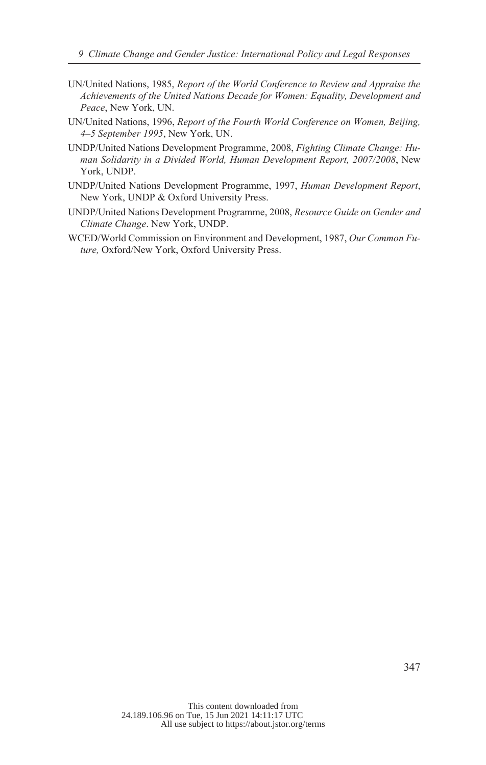- UN/United Nations, 1985, *Report of the World Conference to Review and Appraise the Achievements of the United Nations Decade for Women: Equality, Development and Peace*, New York, UN.
- UN/United Nations, 1996, *Report of the Fourth World Conference on Women, Beijing, 4–5 September 1995*, New York, UN.
- UNDP/United Nations Development Programme, 2008, *Fighting Climate Change: Human Solidarity in a Divided World, Human Development Report, 2007/2008*, New York, UNDP.
- UNDP/United Nations Development Programme, 1997, *Human Development Report*, New York, UNDP & Oxford University Press.
- UNDP/United Nations Development Programme, 2008, *Resource Guide on Gender and Climate Change*. New York, UNDP.
- WCED/World Commission on Environment and Development, 1987, *Our Common Future,* Oxford/New York, Oxford University Press.